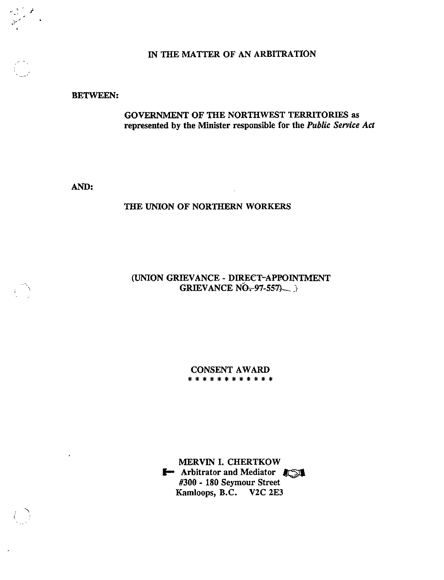#### IN THE MATTER OF AN ARBITRATION

## BETWEEN:

# GOVERNMENT OF THE NORTHWEST TERRITORIES as represented by the Minister responsible for the Public Service Act

AND:

# THE UNION OF NORTHERN WORKERS

## (UNION GRIEVANCE - DIRECT-APPOINTMENT GRIEVANCE  $N\overline{O}$ -97-557)

 $\sim 10^7$ 

CONSENT AWARD<br>\*\*\*\*\*\*\*\*\*\*\*\*\*

MERVIN I. CHERTKOW ' Arbitrator and Mediator #300 - 180 Seymour Street Kamloops, B.C. V2C 2E3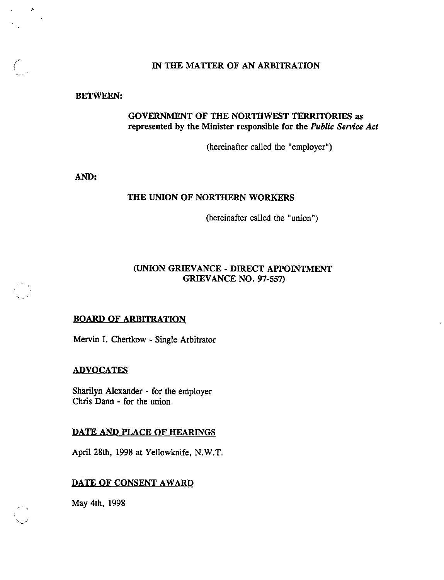## IN THE MATTER OF AN ARBITRATION

#### BETWEEN:

 $\mathcal{A}$ 

 $\left(\begin{array}{c} 1 \ 1 \end{array}\right)$ 

# GOVERNMENT OF THE NORTHWEST TERRITORIES as represented by the Minister responsible for the Public Service Act

(hereinafter called the "employer")

AND:

## THE UNION OF NORTHERN WORKERS

(hereinafter called the "union")

## (UNION GRIEVANCE - DIRECT APPOINTMENT GRIEVANCE NO. 97-557)

#### BOARD OF ARBITRATION

Mervin I. Chertkow - Single Arbitrator

#### ADVOCATES

Sharilyn Alexander - for the employer Chris Dann - for the union

#### DATE AND PLACE OF HEARINGS

April 28th, 1998 at Yellowknife, N.W.T.

# DATE OF CONSENT AWARD

May 4th, 1998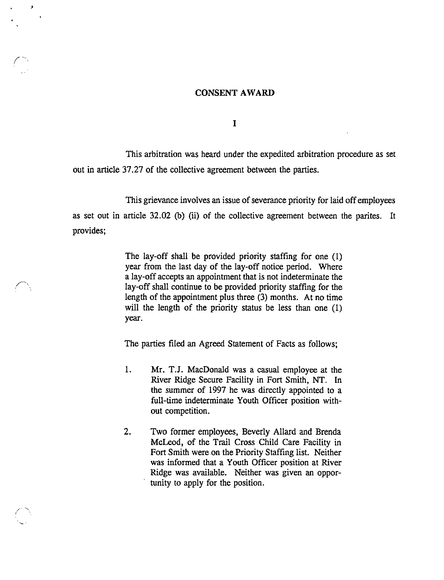#### CONSENT AWARD

J.

 $\mathbf I$ 

This arbitration was heard under the expedited arbitration procedure as set out in article 37.27 of the collective agreement between the parties.

This grievance involves an issue of severance priority for laid off employees as set out in article 32.02 (b) (ii) of the collective agreement between the parites. It provides;

> The lay-off shall be provided priority staffing for one (1) year from the last day of the lay-off notice period. Where a lay-off accepts an appointment that is not indeterminate the lay-off shall continue to be provided priority staffing for the length of the appointment plus three (3) months. At no time will the length of the priority status be less than one (1) year.

The parties filed an Agreed Statement of Facts as follows;

- 1. Mr. T.J. MacDonald was a casual employee at the River Ridge Secure Facility in Fort Smith, NT. In the summer of 1997 he was directly appointed to a full-time indeterminate Youth Officer position with out competition.
- 2. Two former employees, Beverly Allard and Brenda McLeod, of the Trail Cross Child Care Facility in Fort Smith were on the Priority Staffing list. Neither was informed that a Youth Officer position at River Ridge was available. Neither was given an oppor tunity to apply for the position.